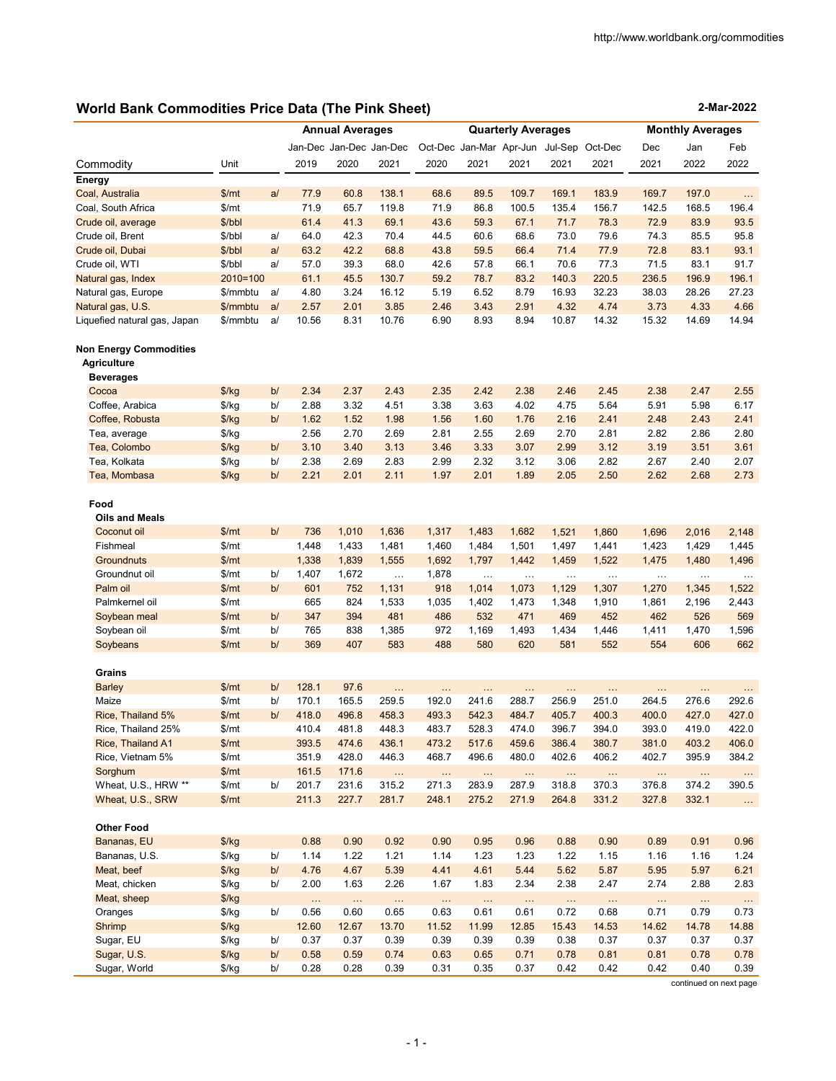**2-Mar-2022**

# **World Bank Commodities Price Data (The Pink Sheet)**

|                                                     |               |    | <b>Annual Averages</b> |                  |                         |                  | <b>Quarterly Averages</b> |                    |                   |                                         | <b>Monthly Averages</b> |                    |                   |
|-----------------------------------------------------|---------------|----|------------------------|------------------|-------------------------|------------------|---------------------------|--------------------|-------------------|-----------------------------------------|-------------------------|--------------------|-------------------|
|                                                     |               |    |                        |                  | Jan-Dec Jan-Dec Jan-Dec |                  |                           |                    |                   | Oct-Dec Jan-Mar Apr-Jun Jul-Sep Oct-Dec | Dec                     | Jan                | Feb               |
| Commodity                                           | Unit          |    | 2019                   | 2020             | 2021                    | 2020             | 2021                      | 2021               | 2021              | 2021                                    | 2021                    | 2022               | 2022              |
| Energy                                              |               |    |                        |                  |                         |                  |                           |                    |                   |                                         |                         |                    |                   |
| Coal, Australia                                     | \$/mt         | a/ | 77.9                   | 60.8             | 138.1                   | 68.6             | 89.5                      | 109.7              | 169.1             | 183.9                                   | 169.7                   | 197.0              | $\sim$            |
| Coal, South Africa                                  | \$/mt         |    | 71.9                   | 65.7             | 119.8                   | 71.9             | 86.8                      | 100.5              | 135.4             | 156.7                                   | 142.5                   | 168.5              | 196.4             |
| Crude oil, average                                  | \$/bbl        |    | 61.4                   | 41.3             | 69.1                    | 43.6             | 59.3                      | 67.1               | 71.7              | 78.3                                    | 72.9                    | 83.9               | 93.5              |
| Crude oil, Brent                                    | \$/bbl        | a/ | 64.0                   | 42.3             | 70.4                    | 44.5             | 60.6                      | 68.6               | 73.0              | 79.6                                    | 74.3                    | 85.5               | 95.8              |
| Crude oil, Dubai                                    | \$/bbl        | a  | 63.2                   | 42.2             | 68.8                    | 43.8             | 59.5                      | 66.4               | 71.4              | 77.9                                    | 72.8                    | 83.1               | 93.1              |
| Crude oil, WTI                                      | \$/bbl        | a/ | 57.0                   | 39.3             | 68.0                    | 42.6             | 57.8                      | 66.1               | 70.6              | 77.3                                    | 71.5                    | 83.1               | 91.7              |
| Natural gas, Index                                  | $2010=100$    |    | 61.1                   | 45.5             | 130.7                   | 59.2             | 78.7                      | 83.2               | 140.3             | 220.5                                   | 236.5                   | 196.9              | 196.1             |
| Natural gas, Europe                                 | \$/mmbtu      | a/ | 4.80                   | 3.24             | 16.12                   | 5.19             | 6.52                      | 8.79               | 16.93             | 32.23                                   | 38.03                   | 28.26              | 27.23             |
| Natural gas, U.S.                                   | \$/mmbtu      | a/ | 2.57                   | 2.01             | 3.85                    | 2.46             | 3.43                      | 2.91               | 4.32              | 4.74                                    | 3.73                    | 4.33               | 4.66              |
| Liquefied natural gas, Japan                        | \$/mmbtu      | a/ | 10.56                  | 8.31             | 10.76                   | 6.90             | 8.93                      | 8.94               | 10.87             | 14.32                                   | 15.32                   | 14.69              | 14.94             |
| <b>Non Energy Commodities</b><br><b>Agriculture</b> |               |    |                        |                  |                         |                  |                           |                    |                   |                                         |                         |                    |                   |
| <b>Beverages</b>                                    |               |    |                        |                  |                         |                  |                           |                    |                   |                                         |                         |                    |                   |
| Cocoa                                               | \$/kg         | b/ | 2.34                   | 2.37             | 2.43                    | 2.35             | 2.42                      | 2.38               | 2.46              | 2.45                                    | 2.38                    | 2.47               | 2.55              |
| Coffee, Arabica                                     | $\frac{f}{g}$ | b/ | 2.88                   | 3.32             | 4.51                    | 3.38             | 3.63                      | 4.02               | 4.75              | 5.64                                    | 5.91                    | 5.98               | 6.17              |
| Coffee, Robusta                                     | \$/kg         | b/ | 1.62                   | 1.52             | 1.98                    | 1.56             | 1.60                      | 1.76               | 2.16              | 2.41                                    | 2.48                    | 2.43               | 2.41              |
| Tea, average                                        | $\frac{f}{g}$ |    | 2.56                   | 2.70             | 2.69                    | 2.81             | 2.55                      | 2.69               | 2.70              | 2.81                                    | 2.82                    | 2.86               | 2.80              |
| Tea, Colombo                                        | $\frac{f}{g}$ | b/ | 3.10                   | 3.40             | 3.13                    | 3.46             | 3.33                      | 3.07               | 2.99              | 3.12                                    | 3.19                    | 3.51               | 3.61              |
| Tea, Kolkata                                        | $\frac{f}{g}$ | b/ | 2.38                   | 2.69             | 2.83                    | 2.99             | 2.32                      | 3.12               | 3.06              | 2.82                                    | 2.67                    | 2.40               | 2.07              |
| Tea, Mombasa                                        | \$/kg         | b/ | 2.21                   | 2.01             | 2.11                    | 1.97             | 2.01                      | 1.89               | 2.05              | 2.50                                    | 2.62                    | 2.68               | 2.73              |
| Food<br><b>Oils and Meals</b>                       |               |    |                        |                  |                         |                  |                           |                    |                   |                                         |                         |                    |                   |
| Coconut oil                                         | \$/mt         | b/ | 736                    | 1,010            | 1,636                   | 1,317            | 1,483                     | 1,682              | 1,521             | 1,860                                   | 1,696                   | 2,016              | 2,148             |
| Fishmeal                                            | \$/mt         |    | 1,448                  | 1,433            | 1,481                   | 1,460            | 1,484                     | 1,501              | 1,497             | 1,441                                   | 1,423                   | 1,429              | 1,445             |
| <b>Groundnuts</b>                                   | \$/mt         |    | 1,338                  | 1,839            | 1,555                   | 1,692            | 1,797                     | 1,442              | 1,459             | 1,522                                   | 1,475                   | 1,480              | 1,496             |
| Groundnut oil                                       | \$/mt         | b/ | 1,407                  | 1,672            | $\cdots$                | 1,878            |                           |                    |                   |                                         |                         |                    |                   |
| Palm oil                                            | \$/mt         | b/ | 601                    | 752              | 1,131                   | 918              | $\cdots$<br>1,014         | $\ddotsc$<br>1,073 | $\ldots$<br>1,129 | $\ldots$<br>1,307                       | $\ldots$<br>1,270       | $\ddotsc$<br>1,345 | $\cdots$<br>1,522 |
| Palmkernel oil                                      | \$/mt         |    | 665                    | 824              | 1,533                   | 1,035            | 1,402                     | 1,473              | 1,348             | 1,910                                   | 1,861                   | 2,196              | 2,443             |
| Soybean meal                                        | \$/mt         | b/ | 347                    | 394              | 481                     | 486              | 532                       | 471                | 469               | 452                                     | 462                     | 526                | 569               |
| Soybean oil                                         | \$/mt         | b/ | 765                    | 838              | 1,385                   | 972              | 1,169                     | 1,493              | 1,434             | 1,446                                   | 1,411                   | 1,470              | 1,596             |
| Soybeans                                            | \$/mt         | b/ | 369                    | 407              | 583                     | 488              | 580                       | 620                | 581               | 552                                     | 554                     | 606                | 662               |
|                                                     |               |    |                        |                  |                         |                  |                           |                    |                   |                                         |                         |                    |                   |
| Grains                                              |               |    |                        |                  |                         |                  |                           |                    |                   |                                         |                         |                    |                   |
| <b>Barley</b>                                       | \$/mt         | b/ | 128.1                  | 97.6             | Ω.                      |                  |                           | $\ddotsc$          | $\ddotsc$         |                                         |                         | $\ddotsc$          | $\ldots$          |
| Maize                                               | \$/mt         | b/ | 170.1                  | 165.5            | 259.5                   | 192.0            | 241.6                     | 288.7              | 256.9             | 251.0                                   | 264.5                   | 276.6              | 292.6             |
| Rice, Thailand 5%                                   | \$/mt         | b/ | 418.0                  | 496.8            | 458.3                   | 493.3            | 542.3                     | 484.7              | 405.7             | 400.3                                   | 400.0                   | 427.0              | 427.0             |
| Rice, Thailand 25%                                  | \$/mt         |    | 410.4                  | 481.8            | 448.3                   | 483.7            | 528.3                     | 474.0              | 396.7             | 394.0                                   | 393.0                   | 419.0              | 422.0             |
| Rice, Thailand A1                                   | \$/mt         |    | 393.5                  | 474.6            | 436.1                   | 473.2            | 517.6                     | 459.6              | 386.4             | 380.7                                   | 381.0                   | 403.2              | 406.0             |
| Rice, Vietnam 5%                                    | \$/mt         |    | 351.9                  | 428.0            | 446.3                   | 468.7            | 496.6                     | 480.0              | 402.6             | 406.2                                   | 402.7                   | 395.9              | 384.2             |
| Sorghum                                             | \$/mt         |    | 161.5                  | 171.6            | $\cdots$                | $\bar{\alpha}$   |                           | $\ddotsc$          | $\ldots$          | $\sim$ .                                | $\ddotsc$               | $\sim$             | $\cdots$          |
| Wheat, U.S., HRW **                                 | \$/mt         | b/ | 201.7                  | 231.6            | 315.2                   | 271.3            | 283.9                     | 287.9              | 318.8             | 370.3                                   | 376.8                   | 374.2              | 390.5             |
| Wheat, U.S., SRW                                    | \$/mt         |    | 211.3                  | 227.7            | 281.7                   | 248.1            | 275.2                     | 271.9              | 264.8             | 331.2                                   | 327.8                   | 332.1              | $\dots$           |
| <b>Other Food</b>                                   |               |    |                        |                  |                         |                  |                           |                    |                   |                                         |                         |                    |                   |
| Bananas, EU                                         | $\frac{f}{g}$ |    | 0.88                   | 0.90             | 0.92                    | 0.90             | 0.95                      | 0.96               | 0.88              | 0.90                                    | 0.89                    | 0.91               | 0.96              |
| Bananas, U.S.                                       | \$/kg         | b/ | 1.14                   | 1.22             | 1.21                    | 1.14             | 1.23                      | 1.23               | 1.22              | 1.15                                    | 1.16                    | 1.16               | 1.24              |
| Meat, beef                                          | $\frac{1}{2}$ | b/ | 4.76                   | 4.67             | 5.39                    | 4.41             | 4.61                      | 5.44               | 5.62              | 5.87                                    | 5.95                    | 5.97               | 6.21              |
| Meat, chicken                                       | \$/kg         | b/ | 2.00                   | 1.63             | 2.26                    | 1.67             | 1.83                      | 2.34               | 2.38              | 2.47                                    | 2.74                    | 2.88               | 2.83              |
| Meat, sheep                                         | $\frac{f}{g}$ |    |                        |                  |                         |                  |                           |                    |                   |                                         |                         |                    |                   |
| Oranges                                             | \$/kg         | b/ | $\ldots$<br>0.56       | $\ldots$<br>0.60 | <br>0.65                | $\ldots$<br>0.63 | $\ldots$<br>0.61          | $\ldots$<br>0.61   | $\ldots$<br>0.72  | $\ldots$<br>0.68                        | $\ldots$<br>0.71        | <br>0.79           | $\sim$<br>0.73    |
| Shrimp                                              | \$/kg         |    | 12.60                  | 12.67            | 13.70                   | 11.52            | 11.99                     | 12.85              | 15.43             | 14.53                                   | 14.62                   | 14.78              | 14.88             |
| Sugar, EU                                           | \$/kg         | b/ | 0.37                   | 0.37             | 0.39                    | 0.39             | 0.39                      | 0.39               | 0.38              | 0.37                                    | 0.37                    | 0.37               | 0.37              |
| Sugar, U.S.                                         | $\frac{f}{g}$ | b/ | 0.58                   | 0.59             | 0.74                    | 0.63             | 0.65                      | 0.71               | 0.78              | 0.81                                    | 0.81                    | 0.78               | 0.78              |
|                                                     |               |    |                        |                  |                         |                  |                           |                    |                   |                                         |                         |                    |                   |

continued on next page

Sugar, World \$/kg b/ 0.28 0.28 0.39 0.31 0.35 0.37 0.42 0.42 0.42 0.40 0.39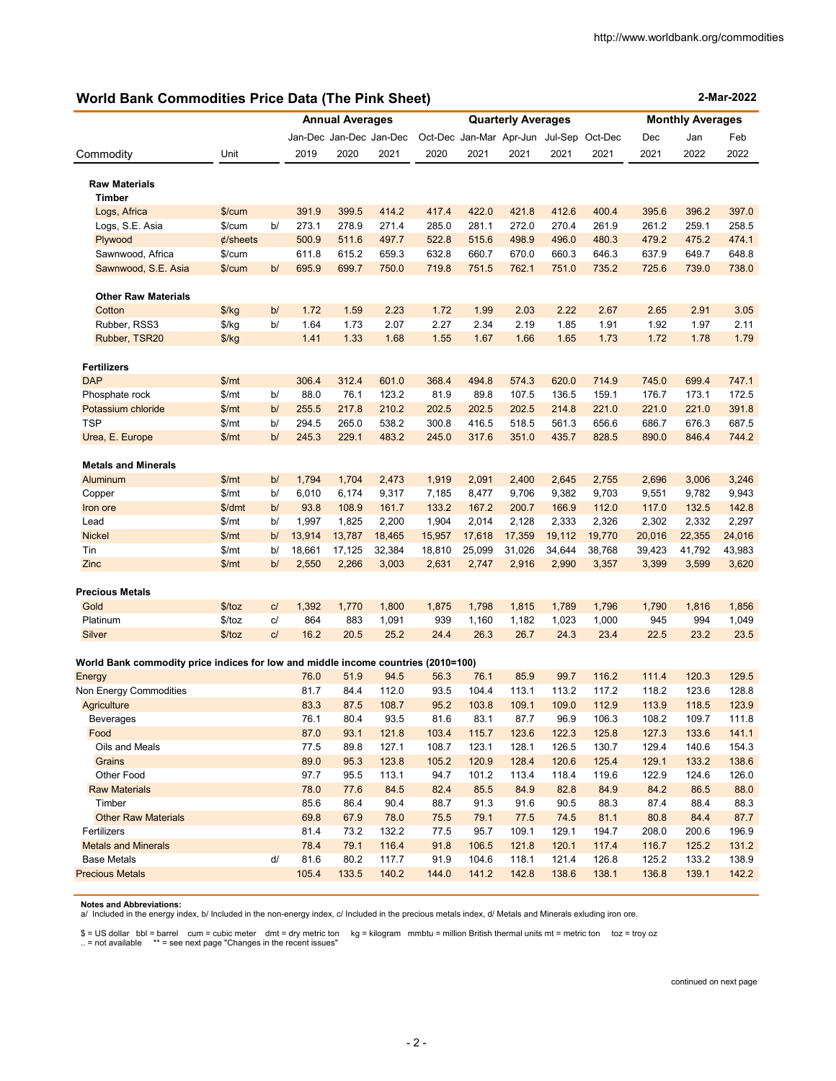# **World Bank Commodities Price Data (The Pink Sheet)**

| <b>World Bank Commodities Price Data (The Pink Sheet)</b>                         |                  |    |                |                        |                         |                           |        |                |                | 2-Mar-2022                              |                         |        |                |  |
|-----------------------------------------------------------------------------------|------------------|----|----------------|------------------------|-------------------------|---------------------------|--------|----------------|----------------|-----------------------------------------|-------------------------|--------|----------------|--|
|                                                                                   |                  |    |                | <b>Annual Averages</b> |                         | <b>Quarterly Averages</b> |        |                |                |                                         | <b>Monthly Averages</b> |        |                |  |
|                                                                                   |                  |    |                |                        | Jan-Dec Jan-Dec Jan-Dec |                           |        |                |                | Oct-Dec Jan-Mar Apr-Jun Jul-Sep Oct-Dec | Dec                     | Jan    | Feb            |  |
| Commodity                                                                         | Unit             |    | 2019           | 2020                   | 2021                    | 2020                      | 2021   | 2021           | 2021           | 2021                                    | 2021                    | 2022   | 2022           |  |
|                                                                                   |                  |    |                |                        |                         |                           |        |                |                |                                         |                         |        |                |  |
| <b>Raw Materials</b>                                                              |                  |    |                |                        |                         |                           |        |                |                |                                         |                         |        |                |  |
| <b>Timber</b>                                                                     |                  |    |                | 399.5                  |                         | 417.4                     | 422.0  |                |                |                                         |                         | 396.2  |                |  |
| Logs, Africa<br>Logs, S.E. Asia                                                   | \$/cum<br>\$/cum | b/ | 391.9<br>273.1 | 278.9                  | 414.2<br>271.4          | 285.0                     | 281.1  | 421.8<br>272.0 | 412.6<br>270.4 | 400.4<br>261.9                          | 395.6<br>261.2          | 259.1  | 397.0<br>258.5 |  |
| Plywood                                                                           | $\phi$ /sheets   |    | 500.9          | 511.6                  | 497.7                   | 522.8                     | 515.6  | 498.9          | 496.0          | 480.3                                   | 479.2                   | 475.2  | 474.1          |  |
| Sawnwood, Africa                                                                  | \$/cum           |    | 611.8          | 615.2                  | 659.3                   | 632.8                     | 660.7  | 670.0          | 660.3          | 646.3                                   | 637.9                   | 649.7  | 648.8          |  |
| Sawnwood, S.E. Asia                                                               | \$/cum           | b/ | 695.9          | 699.7                  | 750.0                   | 719.8                     | 751.5  | 762.1          | 751.0          | 735.2                                   | 725.6                   | 739.0  | 738.0          |  |
|                                                                                   |                  |    |                |                        |                         |                           |        |                |                |                                         |                         |        |                |  |
| <b>Other Raw Materials</b>                                                        |                  |    |                |                        |                         |                           |        |                |                |                                         |                         |        |                |  |
| Cotton                                                                            | $\frac{f}{g}$    | b/ | 1.72           | 1.59                   | 2.23                    | 1.72                      | 1.99   | 2.03           | 2.22           | 2.67                                    | 2.65                    | 2.91   | 3.05           |  |
| Rubber, RSS3                                                                      | $\frac{f}{g}$    | b/ | 1.64           | 1.73                   | 2.07                    | 2.27                      | 2.34   | 2.19           | 1.85           | 1.91                                    | 1.92                    | 1.97   | 2.11           |  |
| Rubber, TSR20                                                                     | $\frac{f}{g}$    |    | 1.41           | 1.33                   | 1.68                    | 1.55                      | 1.67   | 1.66           | 1.65           | 1.73                                    | 1.72                    | 1.78   | 1.79           |  |
| <b>Fertilizers</b>                                                                |                  |    |                |                        |                         |                           |        |                |                |                                         |                         |        |                |  |
| <b>DAP</b>                                                                        | \$/mt            |    | 306.4          | 312.4                  | 601.0                   | 368.4                     | 494.8  | 574.3          | 620.0          | 714.9                                   | 745.0                   | 699.4  | 747.1          |  |
| Phosphate rock                                                                    | \$/mt            | b/ | 88.0           | 76.1                   | 123.2                   | 81.9                      | 89.8   | 107.5          | 136.5          | 159.1                                   | 176.7                   | 173.1  | 172.5          |  |
| Potassium chloride                                                                | \$/mt            | b/ | 255.5          | 217.8                  | 210.2                   | 202.5                     | 202.5  | 202.5          | 214.8          | 221.0                                   | 221.0                   | 221.0  | 391.8          |  |
| <b>TSP</b>                                                                        | \$/mt            | b/ | 294.5          | 265.0                  | 538.2                   | 300.8                     | 416.5  | 518.5          | 561.3          | 656.6                                   | 686.7                   | 676.3  | 687.5          |  |
| Urea, E. Europe                                                                   | \$/mt            | b/ | 245.3          | 229.1                  | 483.2                   | 245.0                     | 317.6  | 351.0          | 435.7          | 828.5                                   | 890.0                   | 846.4  | 744.2          |  |
| <b>Metals and Minerals</b>                                                        |                  |    |                |                        |                         |                           |        |                |                |                                         |                         |        |                |  |
| Aluminum                                                                          | \$/mt            | b/ | 1,794          | 1,704                  | 2,473                   | 1,919                     | 2,091  | 2,400          | 2,645          | 2,755                                   | 2,696                   | 3,006  | 3,246          |  |
| Copper                                                                            | \$/mt            | b/ | 6,010          | 6,174                  | 9,317                   | 7,185                     | 8,477  | 9,706          | 9,382          | 9,703                                   | 9,551                   | 9,782  | 9,943          |  |
| Iron ore                                                                          | \$/dmt           | b/ | 93.8           | 108.9                  | 161.7                   | 133.2                     | 167.2  | 200.7          | 166.9          | 112.0                                   | 117.0                   | 132.5  | 142.8          |  |
| Lead                                                                              | \$/mt            | b/ | 1,997          | 1,825                  | 2,200                   | 1,904                     | 2,014  | 2,128          | 2,333          | 2,326                                   | 2,302                   | 2,332  | 2,297          |  |
| <b>Nickel</b>                                                                     | \$/mt            | b/ | 13,914         | 13,787                 | 18,465                  | 15,957                    | 17,618 | 17,359         | 19,112         | 19,770                                  | 20,016                  | 22,355 | 24,016         |  |
| Tin                                                                               | \$/mt            | b/ | 18,661         | 17,125                 | 32,384                  | 18,810                    | 25,099 | 31,026         | 34,644         | 38,768                                  | 39,423                  | 41,792 | 43,983         |  |
| Zinc                                                                              | \$/mt            | b/ | 2,550          | 2,266                  | 3,003                   | 2,631                     | 2,747  | 2,916          | 2,990          | 3,357                                   | 3,399                   | 3,599  | 3,620          |  |
| <b>Precious Metals</b>                                                            |                  |    |                |                        |                         |                           |        |                |                |                                         |                         |        |                |  |
| Gold                                                                              | \$/toz           | C/ | 1,392          | 1,770                  | 1,800                   | 1,875                     | 1,798  | 1,815          | 1,789          | 1,796                                   | 1,790                   | 1,816  | 1,856          |  |
| Platinum                                                                          | \$/toz           | c/ | 864            | 883                    | 1,091                   | 939                       | 1,160  | 1,182          | 1,023          | 1,000                                   | 945                     | 994    | 1,049          |  |
| Silver                                                                            | \$/toz           | C/ | 16.2           | 20.5                   | 25.2                    | 24.4                      | 26.3   | 26.7           | 24.3           | 23.4                                    | 22.5                    | 23.2   | 23.5           |  |
| World Bank commodity price indices for low and middle income countries (2010=100) |                  |    |                |                        |                         |                           |        |                |                |                                         |                         |        |                |  |
| Energy                                                                            |                  |    | 76.0           | 51.9                   | 94.5                    | 56.3                      | 76.1   | 85.9           | 99.7           | 116.2                                   | 111.4                   | 120.3  | 129.5          |  |
| Non Energy Commodities                                                            |                  |    | 81.7           | 84.4                   | 112.0                   | 93.5                      | 104.4  | 113.1          | 113.2          | 117.2                                   | 118.2                   | 123.6  | 128.8          |  |
| Agriculture                                                                       |                  |    | 83.3           | 87.5                   | 108.7                   | 95.2                      | 103.8  | 109.1          | 109.0          | 112.9                                   | 113.9                   | 118.5  | 123.9          |  |
| Beverages                                                                         |                  |    | 76.1           | 80.4                   | 93.5                    | 81.6                      | 83.1   | 87.7           | 96.9           | 106.3                                   | 108.2                   | 109.7  | 111.8          |  |
| Food                                                                              |                  |    | 87.0           | 93.1                   | 121.8                   | 103.4                     | 115.7  | 123.6          | 122.3          | 125.8                                   | 127.3                   | 133.6  | 141.1          |  |
| Oils and Meals                                                                    |                  |    | 77.5           | 89.8                   | 127.1                   | 108.7                     | 123.1  | 128.1          | 126.5          | 130.7                                   | 129.4                   | 140.6  | 154.3          |  |
| Grains                                                                            |                  |    | 89.0           | 95.3                   | 123.8                   | 105.2                     | 120.9  | 128.4          | 120.6          | 125.4                                   | 129.1                   | 133.2  | 138.6          |  |
| Other Food                                                                        |                  |    | 97.7           | 95.5                   | 113.1                   | 94.7                      | 101.2  | 113.4          | 118.4          | 119.6                                   | 122.9                   | 124.6  | 126.0          |  |
| <b>Raw Materials</b>                                                              |                  |    | 78.0           | 77.6                   | 84.5                    | 82.4                      | 85.5   | 84.9           | 82.8           | 84.9                                    | 84.2                    | 86.5   | 88.0           |  |
| Timber                                                                            |                  |    | 85.6           | 86.4                   | 90.4                    | 88.7                      | 91.3   | 91.6           | 90.5           | 88.3                                    | 87.4                    | 88.4   | 88.3           |  |
| <b>Other Raw Materials</b>                                                        |                  |    | 69.8           | 67.9                   | 78.0                    | 75.5                      | 79.1   | 77.5           | 74.5           | 81.1                                    | 80.8                    | 84.4   | 87.7           |  |
| Fertilizers                                                                       |                  |    | 81.4           | 73.2                   | 132.2                   | 77.5                      | 95.7   | 109.1          | 129.1          | 194.7                                   | 208.0                   | 200.6  | 196.9          |  |
| <b>Metals and Minerals</b>                                                        |                  |    | 78.4           | 79.1                   | 116.4                   | 91.8                      | 106.5  | 121.8          | 120.1          | 117.4                                   | 116.7                   | 125.2  | 131.2          |  |
| <b>Base Metals</b>                                                                |                  | d/ | 81.6           | 80.2                   | 117.7                   | 91.9                      | 104.6  | 118.1          | 121.4          | 126.8                                   | 125.2                   | 133.2  | 138.9          |  |
| <b>Precious Metals</b>                                                            |                  |    | 105.4          | 133.5                  | 140.2                   | 144.0                     | 141.2  | 142.8          | 138.6          | 138.1                                   | 136.8                   | 139.1  | 142.2          |  |

**Notes and Abbreviations:** 

a/ Included in the energy index, b/ Included in the non-energy index, c/ Included in the precious metals index, d/ Metals and Minerals exluding iron ore.

\$ = US dollar bbl = barrel cum = cubic meter dmt = dry metric ton kg = kilogram mmbtu = million British thermal units mt = metric ton toz = troy oz<br>.. = not available \*\* = see next page "Changes in th